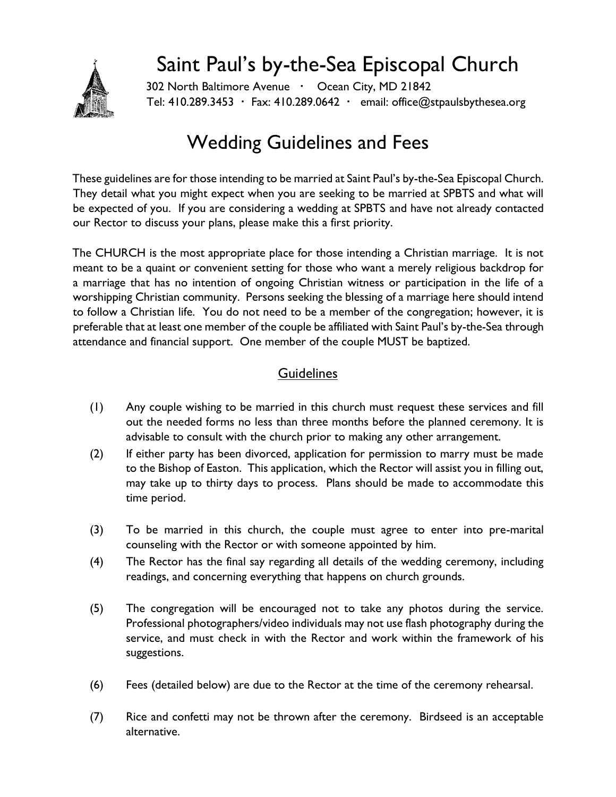

## Saint Paul's by-the-Sea Episcopal Church

302 North Baltimore Avenue · Ocean City, MD 21842 Tel:  $410.289.3453$  · Fax:  $410.289.0642$  · email: office@stpaulsbythesea.org

## Wedding Guidelines and Fees

These guidelines are for those intending to be married at Saint Paul's by-the-Sea Episcopal Church. They detail what you might expect when you are seeking to be married at SPBTS and what will be expected of you. If you are considering a wedding at SPBTS and have not already contacted our Rector to discuss your plans, please make this a first priority.

The CHURCH is the most appropriate place for those intending a Christian marriage. It is not meant to be a quaint or convenient setting for those who want a merely religious backdrop for a marriage that has no intention of ongoing Christian witness or participation in the life of a worshipping Christian community. Persons seeking the blessing of a marriage here should intend to follow a Christian life. You do not need to be a member of the congregation; however, it is preferable that at least one member of the couple be affiliated with Saint Paul's by-the-Sea through attendance and financial support. One member of the couple MUST be baptized.

## **Guidelines**

- (1) Any couple wishing to be married in this church must request these services and fill out the needed forms no less than three months before the planned ceremony. It is advisable to consult with the church prior to making any other arrangement.
- (2) If either party has been divorced, application for permission to marry must be made to the Bishop of Easton. This application, which the Rector will assist you in filling out, may take up to thirty days to process. Plans should be made to accommodate this time period.
- (3) To be married in this church, the couple must agree to enter into pre-marital counseling with the Rector or with someone appointed by him.
- (4) The Rector has the final say regarding all details of the wedding ceremony, including readings, and concerning everything that happens on church grounds.
- (5) The congregation will be encouraged not to take any photos during the service. Professional photographers/video individuals may not use flash photography during the service, and must check in with the Rector and work within the framework of his suggestions.
- (6) Fees (detailed below) are due to the Rector at the time of the ceremony rehearsal.
- (7) Rice and confetti may not be thrown after the ceremony. Birdseed is an acceptable alternative.